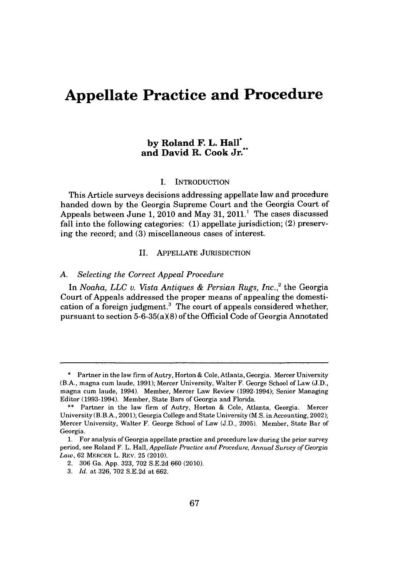# **Appellate Practice and Procedure**

## **by Roland F. L. Hall\* and David R. Cook** Jr."

## **I. INTRODUCTION**

This Article surveys decisions addressing appellate law and procedure handed down **by** the Georgia Supreme Court and the Georgia Court of Appeals between June 1, 2010 and May 31, 2011.<sup>1</sup> The cases discussed fall into the following categories: **(1)** appellate jurisdiction; (2) preserving the record; and **(3)** miscellaneous cases of interest.

## II. **APPELLATE JURISDICTION**

## *A. Selecting the Correct Appeal Procedure*

*In Noaha, LLC v. Vista Antiques & Persian Rugs, Inc.,2* the Georgia Court of Appeals addressed the proper means of appealing the domestication of a foreign judgment.<sup>3</sup> The court of appeals considered whether, pursuant to section  $5-6-35(a)(8)$  of the Official Code of Georgia Annotated

**<sup>\*</sup>** Partner in the law firm of Autry, Horton **&** Cole, Atlanta, Georgia. Mercer University (B.A., magna cum laude, **1991);** Mercer University, Walter F. George School of Law **(J.D.,** magna cum laude, 1994). Member, Mercer Law Review (1992-1994); Senior Managing Editor **(1993-1994).** Member, State Bars of Georgia and Florida.

**<sup>\*\*</sup>** Partner in the law firm of Autry, Horton **&** Cole, Atlanta, Georgia. Mercer University (B.B.A., 2001); Georgia College and State University **(M.S.** in Accounting, 2002); Mercer University, Walter F. George School of Law **(J.D., 2005).** Member, State Bar of Georgia.

**<sup>1.</sup>** For analysis of Georgia appellate practice and procedure law during the prior survey period, see Roland F. L. Hall, *Appellate Practice and Procedure, Annual Survey of Georgia Law,* **62** MERCER L. REV. **25** (2010).

<sup>2.</sup> **306** Ga. **App. 323, 702 S.E.2d 660** (2010).

**<sup>3.</sup>** *Id.* at **326, 702 S.E.2d** at **662.**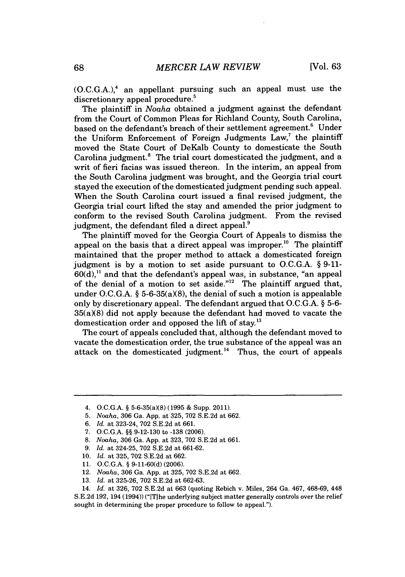**(O.C.G.A.), <sup>4</sup>**an appellant pursuing such an appeal must use the discretionary appeal procedure.<sup>5</sup>

The plaintiff in *Noaha* obtained a judgment against the defendant from the Court of Common Pleas for Richland County, South Carolina, based on the defendant's breach of their settlement agreement.<sup>6</sup> Under the Uniform Enforcement of Foreign Judgments Law,' the plaintiff moved the State Court of DeKalb County to domesticate the South Carolina judgment.<sup>8</sup> The trial court domesticated the judgment, and a writ of fieri facias was issued thereon. In the interim, an appeal from the South Carolina judgment was brought, and the Georgia trial court stayed the execution of the domesticated judgment pending such appeal. When the South Carolina court issued a final revised judgment, the Georgia trial court lifted the stay and amended the prior judgment to conform to the revised South Carolina judgment. From the revised judgment, the defendant filed a direct appeal.<sup>9</sup>

The plaintiff moved for the Georgia Court of Appeals to dismiss the appeal on the basis that a direct appeal was improper.<sup>10</sup> The plaintiff maintained that the proper method to attack a domesticated foreign judgment is **by** a motion to set aside pursuant to **O.C.G.A.** *§* **9-11- 60(d),"** and that the defendant's appeal was, in substance, "an appeal of the denial of a motion to set aside."<sup>12</sup> The plaintiff argued that, under **O.C.G.A. §** 5-6-35(a)(8), the denial of such a motion is appealable only **by** discretionary appeal. The defendant argued that **O.C.G.A.** *§* **5-6-**  $35(a)(8)$  did not apply because the defendant had moved to vacate the domestication order and opposed the lift of stay.<sup>13</sup>

The court of appeals concluded that, although the defendant moved to vacate the domestication order, the true substance of the appeal was an attack on the domesticated judgment.<sup>14</sup> Thus, the court of appeals

**6.** *Id.* at 323-24, **702 S.E.2d** at **661.**

- **9.** *Id.* at 324-25, **702 S.E.2d** at **661-62.**
- **10.** *Id.* at **325, 702 S.E.2d** at **662.**
- **11. O.C.G.A. § 9-11-60(d) (2006).**
- 12. *Noaha,* **306** Ga. **App.** at **325, 702 S.E.2d** at **662.**
- **13.** *Id.* at **325-26, 702 S.E.2d** at **662-63.**

<sup>4.</sup> O.C.G.A. § 5-6-35(a)(8) (1995 & Supp. 2011).

**<sup>5.</sup>** *Noaha,* **306** Ga. **App.** at **325, 702 S.E.2d** at **662.**

*<sup>7.</sup>* **O.C.G.A. §§ 9-12-130** to **-138 (2006).**

**<sup>8.</sup>** *Noaha,* **306** Ga. **App.** at **323, 702 S.E.2d** at **661.**

<sup>14.</sup> *Id.* at **326, 702 S.E.2d** at **663** (quoting Rebich v. Miles, 264 Ga. 467, **468-69,** 448 **S.E.2d 192,** 194 (1994)) ("[TIhe underlying subject matter generally controls over the relief sought in determining the proper procedure to follow to appeal.").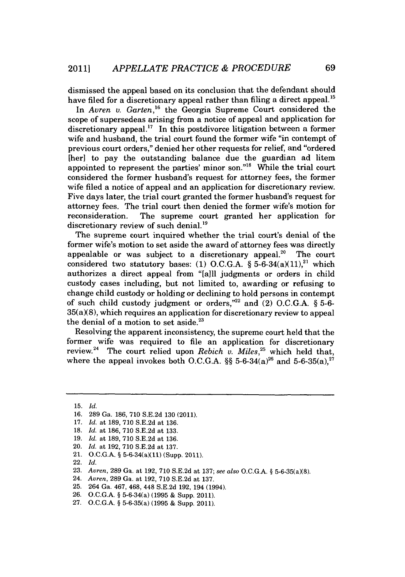dismissed the appeal based on its conclusion that the defendant should have filed for a discretionary appeal rather than filing a direct appeal.<sup>15</sup>

In *Avren v. Garten,16* the Georgia Supreme Court considered the scope of supersedeas arising from a notice of appeal and application for discretionary appeal." In this postdivorce litigation between a former wife and husband, the trial court found the former wife "in contempt of previous court orders," denied her other requests for relief, and "ordered [her] to pay the outstanding balance due the guardian ad litem appointed to represent the parties' minor son."<sup>18</sup> While the trial court considered the former husband's request for attorney fees, the former wife filed a notice of appeal and an application for discretionary review. Five days later, the trial court granted the former husband's request for attorney fees. The trial court then denied the former wife's motion for reconsideration. The supreme court granted her application for discretionary review of such denial.<sup>19</sup>

The supreme court inquired whether the trial court's denial of the former wife's motion to set aside the award of attorney fees was directly appealable or was subject to a discretionary appeal.<sup>20</sup> The court considered two statutory bases: (1) O.C.G.A.  $\S$  5-6-34(a)(11),<sup>21</sup> which authorizes a direct appeal from "[aill judgments or orders in child custody cases including, but not limited to, awarding or refusing to change child custody or holding or declining to hold persons in contempt of such child custody judgment or orders,"22 and (2) **O.C.G.A. § 5-6-** 35(a)(8), which requires an application for discretionary review to appeal the denial of a motion to set aside. $23$ 

Resolving the apparent inconsistency, the supreme court held that the former wife was required to file an application for discretionary review.24 The court relied upon *Rebich v. Miles,25* which held that, where the appeal invokes both O.C.G.A.  $\S$ § 5-6-34(a)<sup>26</sup> and 5-6-35(a).<sup>27</sup>

20. *Id. at* **192, 710 S.E.2d** at **137.**

22. *Id.*

- 24. *Avren,* **289** Ga. at **192, 710 S.E.2d** at **137.**
- **25.** 264 Ga. 467, 468, 448 **S.E.2d 192,** 194 (1994).
- **26. O.C.G.A. §** 5-6-34(a) **(1995 &** Supp. 2011).
- **27. O.C.G.A. §** 5-6-35(a) **(1995 &** Supp. 2011).

**<sup>15.</sup>** *Id.*

**<sup>16. 289</sup>** Ga. **186, 710 S.E.2d 130** (2011).

**<sup>17.</sup>** *Id. at* **189, 710 S.E.2d** at **136.**

**<sup>18.</sup>** *Id. at* **186, 710 S.E.2d** at **133.**

**<sup>19.</sup>** *Id. at* **189, 710 S.E.2d** at **136.**

<sup>21.</sup> **O.C.G.A. §** 5-6-34(a)(11) (Supp. 2011).

**<sup>23.</sup>** *Avren,* **289** Ga. at **192, 710 S.E.2d** at **137;** *see also* **O.C.G.A. §** 5-6-35(a)(8).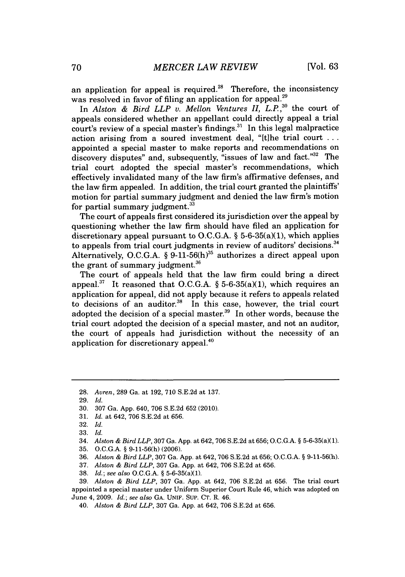an application for appeal is required.<sup>28</sup> Therefore, the inconsistency was resolved in favor of filing an application for appeal.<sup>29</sup>

In *Alston & Bird LLP v. Mellon Ventures II, L.P.*,<sup>30</sup> the court of appeals considered whether an appellant could directly appeal a trial court's review of a special master's findings.<sup>31</sup> In this legal malpractice action arising from a soured investment deal, "[t]he trial court **...** appointed a special master to make reports and recommendations on discovery disputes" and, subsequently, "issues of law and fact."32 The trial court adopted the special master's recommendations, which effectively invalidated many of the law firm's affirmative defenses, and the law firm appealed. In addition, the trial court granted the plaintiffs' motion for partial summary judgment and denied the law firm's motion for partial summary judgment. $33$ 

The court of appeals first considered its jurisdiction over the appeal **by** questioning whether the law firm should have filed an application for discretionary appeal pursuant to **O.C.G.A. §** 5-6-35(a)(1), which applies to appeals from trial court judgments in review of auditors' decisions.<sup>34</sup> Alternatively, **O.C.G.A. § 9-11-56(h)35** authorizes a direct appeal upon the grant of summary judgment.<sup>36</sup>

The court of appeals held that the law firm could bring a direct appeal.<sup>37</sup> It reasoned that O.C.G.A.  $\S$  5-6-35(a)(1), which requires an application for appeal, did not apply because it refers to appeals related to decisions of an auditor. $38$  In this case, however, the trial court adopted the decision of a special master.<sup>39</sup> In other words, because the trial court adopted the decision of a special master, and not an auditor, the court of appeals had jurisdiction without the necessity of an application for discretionary appeal.40

- **30. 307** Ga. **App.** 640, **706 S.E.2d 652** (2010).
- **31.** *Id. at* 642, **706 S.E.2d** at **656.**

- 34. *Alston & Bird LLP,* **307** Ga. **App.** at 642, **706 S.E.2d** at **656; O.C.G.A. §** 5-6-35(a)(1).
- **35. O.C.G.A. § 9-11-56(h) (2006).**
- **36.** Alston *& Bird LLP,* **307** Ga. **App.** at 642, **706 S.E.2d** at **656; O.C.G.A. § 9-11-56(h).**
- **37.** *Alston & Bird LLP,* **307** Ga. **App.** at 642, **706 S.E.2d** at **656.**
- **38.** *Id.; see also* **O.C.G.A. §** 5-6-35(a)(1).

**<sup>28.</sup>** *Avren,* **289** Ga. at **192, 710 S.E.2d** at **137.**

**<sup>29.</sup>** *Id.*

**<sup>32.</sup>** *Id.*

**<sup>33.</sup>** *Id.*

**<sup>39.</sup>** *Alston & Bird LLP,* **307** Ga. **App.** at 642, **706 S.E.2d** at **656.** The trial court appointed a special master under Uniform Superior Court Rule 46, which was adopted on June 4, **2009.** *Id.; see also* **GA. UNIF. SUP. CT.** R. 46.

*<sup>40.</sup> Alston & Bird LLP,* **307** Ga. **App.** at 642, **706 S.E.2d** at **656.**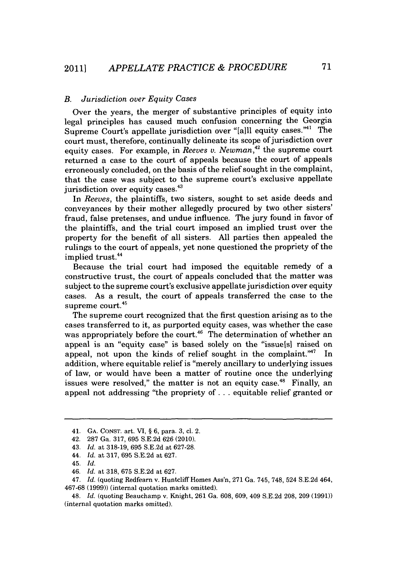## *B. Jurisdiction over Equity Cases*

Over the years, the merger of substantive principles of equity into legal principles has caused much confusion concerning the Georgia Supreme Court's appellate jurisdiction over "[a]ll equity cases."<sup>41</sup> The court must, therefore, continually delineate its scope of jurisdiction over equity cases. For example, in *Reeves v. Newman,42* the supreme court returned a case to the court of appeals because the court of appeals erroneously concluded, on the basis of the relief sought in the complaint, that the case was subject to the supreme court's exclusive appellate jurisdiction over equity cases.<sup>43</sup>

*In Reeves,* the plaintiffs, two sisters, sought to set aside deeds and conveyances **by** their mother allegedly procured **by** two other sisters' fraud, false pretenses, and undue influence. The jury found in favor of the plaintiffs, and the trial court imposed an implied trust over the property for the benefit of all sisters. **All** parties then appealed the rulings to the court of appeals, yet none questioned the propriety of the implied trust.<sup>44</sup>

Because the trial court had imposed the equitable remedy of a constructive trust, the court of appeals concluded that the matter was subject to the supreme court's exclusive appellate jurisdiction over equity cases. As a result, the court of appeals transferred the case to the supreme court.<sup>45</sup>

The supreme court recognized that the first question arising as to the cases transferred to it, as purported equity cases, was whether the case was appropriately before the court.<sup>46</sup> The determination of whether an appeal is an "equity case" is based solely on the "issuels] raised on appeal, not upon the kinds of relief sought in the complaint."<sup>47</sup> In addition, where equitable relief is "merely ancillary to underlying issues of law, or would have been a matter of routine once the underlying issues were resolved," the matter is not an equity case.<sup>48</sup> Finally, an appeal not addressing "the propriety of **. . .** equitable relief granted or

<sup>41.</sup> **GA. CONST.** art. VI, *§ 6,* para. **3,** cl. 2.

<sup>42.</sup> **287** Ga. **317, 695 S.E.2d 626** (2010).

<sup>43.</sup> *Id.* at **318-19, 695 S.E.2d** at **627-28.**

<sup>44.</sup> *Id.* at **317, 695 S.E.2d** at **627.**

<sup>45.</sup> *Id.*

<sup>46.</sup> *Id.* at **318, 675 S.E.2d** at **627.**

<sup>47.</sup> *Id.* (quoting Redfearn v. Huntcliff Homes Ass'n, **271** Ga. 745, **748,** 524 **S.E.2d** 464, **467-68 (1999))** (internal quotation marks omitted).

<sup>48.</sup> *Id.* (quoting Beauchamp v. Knight, **261** Ga. **608, 609,** 409 **S.E.2d 208, 209 (1991))** (internal quotation marks omitted).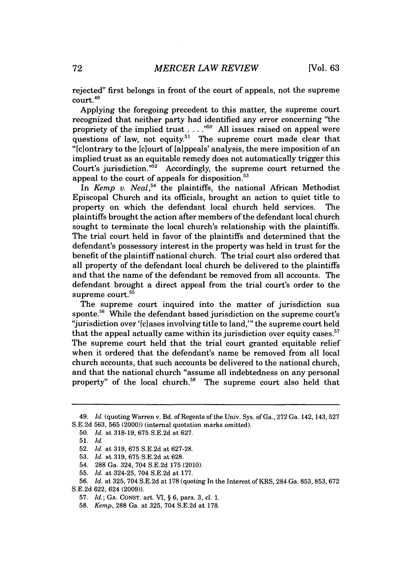rejected" first belongs in front of the court of appeals, not the supreme court.

Applying the foregoing precedent to this matter, the supreme court recognized that neither party had identified any error concerning "the propriety of the implied trust **. . . ."" All** issues raised on appeal were questions of law, not equity.<sup>51</sup> The supreme court made clear that "[c] ontrary to the [c] ourt of [a] ppeals' analysis, the mere imposition of an implied trust as an equitable remedy does not automatically trigger this Court's jurisdiction."<sup>52</sup> Accordingly, the supreme court returned the appeal to the court of appeals for disposition.

In *Kemp v. Neal*,<sup>54</sup> the plaintiffs, the national African Methodist Episcopal Church and its officials, brought an action to quiet title to property on which the defendant local church held services. The plaintiffs brought the action after members of the defendant local church sought to terminate the local church's relationship with the plaintiffs. The trial court held in favor of the plaintiffs and determined that the defendant's possessory interest in the property was held in trust for the benefit of the plaintiff national church. The trial court also ordered that all property of the defendant local church be delivered to the plaintiffs and that the name of the defendant be removed from all accounts. The defendant brought a direct appeal from the trial court's order to the supreme court.<sup>55</sup>

The supreme court inquired into the matter of jurisdiction sua sponte.<sup>56</sup> While the defendant based jurisdiction on the supreme court's "jurisdiction over '[c]ases involving title to land," the supreme court held that the appeal actually came within its jurisdiction over equity cases.<sup>57</sup> The supreme court held that the trial court granted equitable relief when it ordered that the defendant's name be removed from all local church accounts, that such accounts be delivered to the national church, and that the national church "assume all indebtedness on any personal property" of the local church. $58$  The supreme court also held that

<sup>49.</sup> *Id.* (quoting Warren v. Bd. of Regents of the Univ. Sys. of Ga., **272** Ga. 142, 143, 527 **S.E.2d 563, 565** (2000)) (internal quotation marks omitted).

**<sup>50.</sup>** *Id.* at **318-19, 675 S.E.2d** at **627.**

**<sup>51.</sup>** *Id.*

**<sup>52.</sup>** *Id.* at **319, 675 S.E.2d** at **627-28.**

**<sup>53.</sup>** *Id.* at **319, 675 S.E.2d** at **628.**

<sup>54.</sup> **288** Ga. 324, 704 **S.E.2d 175** (2010).

**<sup>55.</sup>** *Id.* at 324-25, 704 **S.E.2d** at **177.**

**<sup>56.</sup>** *Id.* at **325,** 704 **S.E.2d** at **178** (quoting In the Interest of KRS, 284 Ga. **853, 853, 672 S.E.2d 622,** 624 **(2009)).**

**<sup>57.</sup>** *Id.;* **GA. CONST.** art. VI, **§ 6,** para. **3,** cl. **1.**

**<sup>58.</sup>** *Kemp,* **288** Ga. at **325,** 704 **S.E.2d** at **178.**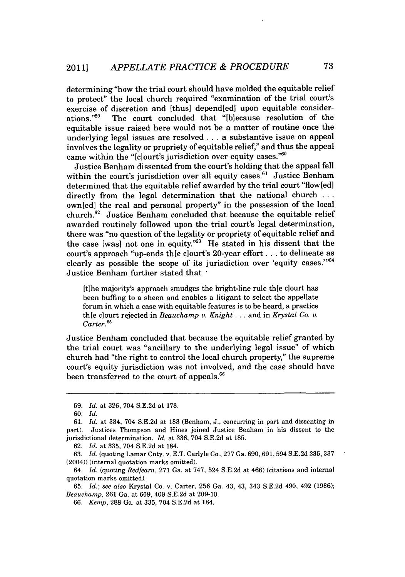determining "how the trial court should have molded the equitable relief to protect" the local church required "examination of the trial court's exercise of discretion and [thus] depend[ed] upon equitable considerations."<sup>59</sup> The court concluded that "[b]ecause resolution of the The court concluded that "[b]ecause resolution of the equitable issue raised here would not be a matter of routine once the underlying legal issues are resolved **...** a substantive issue on appeal involves the legality or propriety of equitable relief," and thus the appeal came within the " $[c]$ ourt's jurisdiction over equity cases."<sup>60</sup>

Justice Benham dissented from the court's holding that the appeal fell within the court's jurisdiction over all equity cases.<sup>61</sup> Justice Benham determined that the equitable relief awarded **by** the trial court "flow[ed] directly from the legal determination that the national church **...** own[ed] the real and personal property" in the possession of the local church." Justice Benham concluded that because the equitable relief awarded routinely followed upon the trial court's legal determination, there was "no question of the legality or propriety of equitable relief and the case [was] not one in equity."<sup>63</sup> He stated in his dissent that the court's approach "up-ends th[e clourt's 20-year effort. **. .** to delineate as clearly as possible the scope of its jurisdiction over 'equity cases.'"64 Justice Benham further stated that **,**

[tihe majority's approach smudges the bright-line rule thle clourt has been buffing to a sheen and enables a litigant to select the appellate forum in which a case with equitable features is to be heard, a practice th[e clourt rejected in *Beauchamp v. Knight ...* and in *Krystal Co. v.* Carter.<sup>65</sup>

Justice Benham concluded that because the equitable relief granted **by** the trial court was "ancillary to the underlying legal issue" of which church had "the right to control the local church property," the supreme court's equity jurisdiction was not involved, and the case should have been transferred to the court of appeals.

**62.** *Id.* at **335,** 704 **S.E.2d** at 184.

**<sup>59.</sup>** *Id.* at **326,** 704 **S.E.2d** at **178.**

**<sup>60.</sup> Id.**

**<sup>61.</sup>** *Id.* at 334, 704 **S.E.2d** at **183** (Benham, **J.,** concurring in part and dissenting in part). Justices Thompson and Hines joined Justice Benham in his dissent to the jurisdictional determination. *Id.* at **336,** 704 **S.E.2d** at **185.**

**<sup>63.</sup>** *Id.* (quoting Lamar Cnty. v. **E.T.** Carlyle Co., **277** Ga. **690, 691,594 S.E.2d 335, 337** (2004)) (internal quotation marks omitted).

<sup>64.</sup> *Id.* (quoting *Redfearn,* **271** Ga. at **747,** 524 **S.E.2d** at 466) (citations and internal quotation marks omitted).

**<sup>65.</sup>** *Id.; see also* Krystal Co. v. Carter, **256** Ga. 43, 43, 343 **S.E.2d** 490, 492 **(1986);** *Beauchamp,* **261** Ga. at **609,** 409 **S.E.2d** at **209-10.**

*<sup>66.</sup> Kemp,* **288** Ga. at **335,** 704 **S.E.2d** at 184.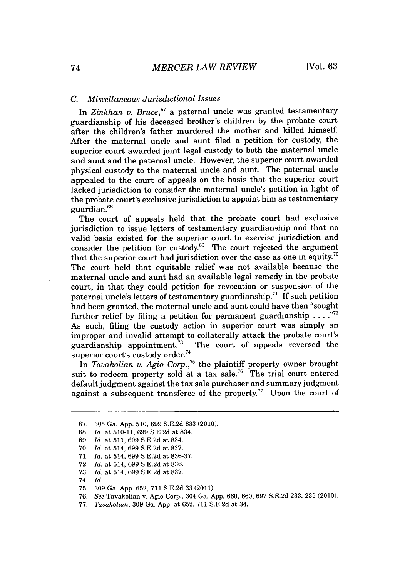## *C. Miscellaneous Jurisdictional Issues*

In *Zinkhan v. Bruce,67 a* paternal uncle was granted testamentary guardianship of his deceased brother's children **by** the probate court after the children's father murdered the mother and killed himself. After the maternal uncle and aunt filed a petition for custody, the superior court awarded joint legal custody to both the maternal uncle and aunt and the paternal uncle. However, the superior court awarded physical custody to the maternal uncle and aunt. The paternal uncle appealed to the court of appeals on the basis that the superior court lacked jurisdiction to consider the maternal uncle's petition in light of the probate court's exclusive jurisdiction to appoint him as testamentary guardian.<sup>68</sup>

The court of appeals held that the probate court had exclusive jurisdiction to issue letters of testamentary guardianship and that no valid basis existed for the superior court to exercise jurisdiction and consider the petition for custody.<sup>69</sup> The court rejected the argument that the superior court had jurisdiction over the case as one in equity.<sup>70</sup> The court held that equitable relief was not available because the maternal uncle and aunt had an available legal remedy in the probate court, in that they could petition for revocation or suspension of the paternal uncle's letters of testamentary guardianship.<sup>71</sup> If such petition had been granted, the maternal uncle and aunt could have then "sought further relief **by** filing a petition for permanent guardianship **....** As such, filing the custody action in superior court was simply an improper and invalid attempt to collaterally attack the probate court's guardianship appointment.<sup>73</sup> The court of appeals reversed the The court of appeals reversed the superior court's custody order.<sup>74</sup>

In *Tavakolian v. Agio Corp.,<sup>5</sup>*the plaintiff property owner brought suit to redeem property sold at a tax sale.<sup>76</sup> The trial court entered default judgment against the tax sale purchaser and summary judgment against a subsequent transferee of the property.<sup>77</sup> Upon the court of

**<sup>67. 305</sup>** Ga. **App. 510, 699 S.E.2d 833** (2010).

**<sup>68.</sup>** *Id.* at **510-11, 699 S.E.2d** at 834.

*<sup>69.</sup> Id.* at **511, 699 S.E.2d** at 834.

**<sup>70.</sup>** *Id.* at 514, **699 S.E.2d** at **837.**

**<sup>71.</sup>** *Id.* at 514, **699 S.E.2d** at **836-37.**

**<sup>72.</sup>** *Id.* at 514, **699 S.E.2d** at **836.**

**<sup>73.</sup>** *Id.* at 514, **699 S.E.2d** at **837.**

*<sup>74.</sup> Id.*

**<sup>75. 309</sup>** Ga. **App. 652, 711 S.E.2d 33** (2011).

**<sup>76.</sup>** *See* Tavakolian v. Agio Corp., 304 Ga. **App. 660, 660, 697 S.E.2d 233, 235** (2010).

*<sup>77.</sup> Tavakolian,* **309** Ga. **App.** at **652, 711 S.E.2d** at 34.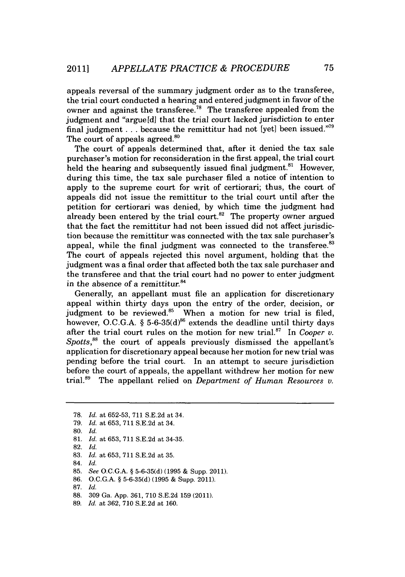appeals reversal of the summary judgment order as to the transferee, the trial court conducted a hearing and entered judgment in favor of the owner and against the transferee.<sup>78</sup> The transferee appealed from the judgment and "argue[d] that the trial court lacked jurisdiction to enter final judgment **.** . **.** because the remittitur had not [yet] been issued."" The court of appeals agreed.<sup>80</sup>

The court of appeals determined that, after it denied the tax sale purchaser's motion for reconsideration in the first appeal, the trial court held the hearing and subsequently issued final judgment.<sup>81</sup> However, during this time, the tax sale purchaser filed a notice of intention to apply to the supreme court for writ of certiorari; thus, the court of appeals did not issue the remittitur to the trial court until after the petition for certiorari was denied, **by** which time the judgment had already been entered by the trial court.<sup>82</sup> The property owner argued that the fact the remittitur had not been issued did not affect jurisdiction because the remittitur was connected with the tax sale purchaser's appeal, while the final judgment was connected to the transferee.<sup>83</sup> The court of appeals rejected this novel argument, holding that the judgment was a final order that affected both the tax sale purchaser and the transferee and that the trial court had no power to enter judgment in the absence of a remittitur.<sup>84</sup>

Generally, an appellant must file an application for discretionary appeal within thirty days upon the entry of the order, decision, or judgment to be reviewed.<sup>85</sup> When a motion for new trial is filed, however, O.C.G.A.  $\S 5$ -6-35(d)<sup>86</sup> extends the deadline until thirty days after the trial court rules on the motion for new trial.<sup>87</sup> In *Cooper v. Spotts,88* the court of appeals previously dismissed the appellant's application for discretionary appeal because her motion for new trial was pending before the trial court. In an attempt to secure jurisdiction before the court of appeals, the appellant withdrew her motion for new trial." The appellant relied on *Department of Human Resources v.*

**<sup>78.</sup>** *Id. at* **652-53, 711 S.E.2d** *at* 34.

**<sup>79.</sup>** *Id. at* **653, 711 S.E.2d** *at* 34.

**<sup>80.</sup>** *Id.*

**<sup>81.</sup>** *Id. at* **653, 711 S.E.2d** *at* 34-35.

**<sup>82.</sup>** *Id.*

**<sup>83.</sup>** *Id. at* **653, 711 S.E.2d** *at* **35.**

<sup>84.</sup> *Id.*

**<sup>85.</sup>** *See* **O.C.G.A. § 5-6-35(d) (1995 &** Supp. 2011).

**<sup>86.</sup> O.C.G.A. § 5-6-35(d) (1995 &** Supp. 2011).

**<sup>87.</sup>** *Id.*

**<sup>88. 309</sup>** Ga. **App. 361, 710 S.E.2d 159** (2011).

**<sup>89.</sup>** *Id. at* **362, 710 S.E.2d** at **160.**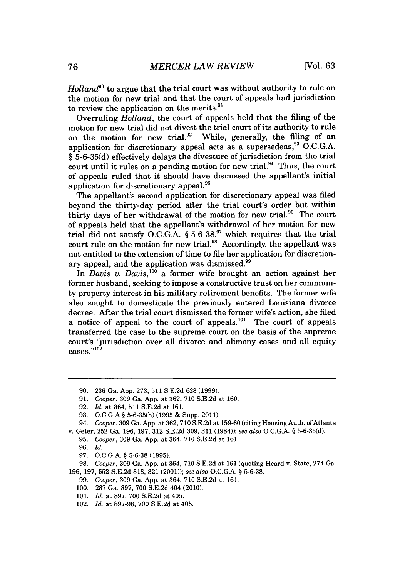*Holland"o* to argue that the trial court was without authority to rule on the motion for new trial and that the court of appeals had jurisdiction to review the application on the merits.<sup>91</sup>

Overruling *Holland,* the court of appeals held that the filing of the motion for new trial did not divest the trial court of its authority to rule on the motion for new trial.<sup>92</sup> While, generally, the filing of an application for discretionary appeal acts as a supersedeas," **O.C.G.A.** *§* **5-6-35(d)** effectively delays the divesture of jurisdiction from the trial court until it rules on a pending motion for new trial. $94$  Thus, the court of appeals ruled that it should have dismissed the appellant's initial application for discretionary appeal.<sup>95</sup>

The appellant's second application for discretionary appeal was filed beyond the thirty-day period after the trial court's order but within thirty days of her withdrawal of the motion for new trial. $96$  The court of appeals held that the appellant's withdrawal of her motion for new trial did not satisfy **O.C.G.A.** *§* **5-6-38,9'** which requires that the trial court rule on the motion for new trial.<sup>98</sup> Accordingly, the appellant was not entitled to the extension of time to file her application for discretionary appeal, and the application was dismissed.<sup>99</sup>

In *Davis v. Davis*,<sup>100</sup> a former wife brought an action against her former husband, seeking to impose a constructive trust on her community property interest in his military retirement benefits. The former wife also sought to domesticate the previously entered Louisiana divorce decree. After the trial court dismissed the former wife's action, she filed a notice of appeal to the court of appeals.<sup>101</sup> The court of appeals transferred the case to the supreme court on the basis of the supreme court's "jurisdiction over all divorce and alimony cases and all equity cases."<sup>102</sup>

- **91.** *Cooper,* **309** Ga. **App.** at **362, 710 S.E.2d** at **160.**
- **92.** *Id.* at 364, **511 S.E.2d** at **161.**
- **93. O.C.G.A** *§* **5-6-35(h) (1995 &** Supp. 2011).

- **95.** *Cooper,* **309** Ga. **App.** at 364, **710 S.E.2d** at **161.**
- **96.** *Id.*
- **97. O.C.G.A.** *§* **5-6-38 (1995).**

**98.** *Cooper,* **309** Ga. **App.** at 364, **710 S.E.2d** at **161** (quoting Heard v. State, 274 Ga. **196, 197, 552 S.E.2d 818, 821** (2001)); *see also* **O.C.G.A.** *§* **5-6-38.**

- *99. Cooper,* **309** Ga. **App.** at 364, **710 S.E.2d** at **161.**
- **100. 287** Ga. **897, 700 S.E.2d** 404 (2010).
- **101.** *Id.* at **897, 700 S.E.2d** at 405.
- 102. *Id.* at **897-98, 700 S.E.2d** at 405.

**<sup>90. 236</sup>** Ga. **App. 273, 511 S.E.2d 628 (1999).**

<sup>94.</sup> *Cooper,* **309** Ga. **App.** at **362, 710 S.E.2d** at **159-60** (citing Housing Auth. of Atlanta v. Geter, **252** Ga. **196, 197, 312 S.E.2d 309, 311** (1984)); *see also* **O.C.G.A.** *§* **5-6-35(d).**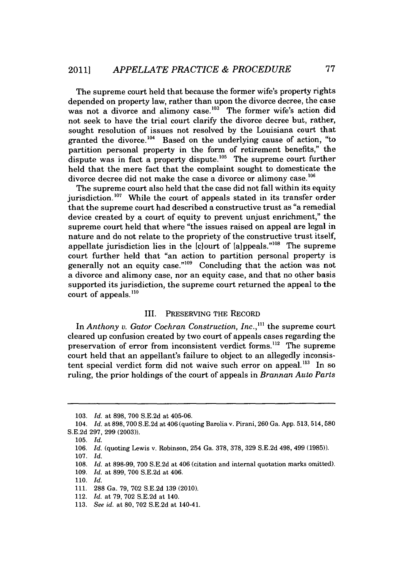The supreme court held that because the former wife's property rights depended on property law, rather than upon the divorce decree, the case was not a divorce and alimony case.<sup>103</sup> The former wife's action did not seek to have the trial court clarify the divorce decree but, rather, sought resolution of issues not resolved **by** the Louisiana court that granted the divorce.<sup>104</sup> Based on the underlying cause of action, "to partition personal property in the form of retirement benefits," the dispute was in fact a property dispute.<sup>105</sup> The supreme court further held that the mere fact that the complaint sought to domesticate the divorce decree did not make the case a divorce or alimony case.<sup>106</sup>

The supreme court also held that the case did not fall within its equity jurisdiction.<sup>107</sup> While the court of appeals stated in its transfer order that the supreme court had described a constructive trust as "a remedial device created **by** a court of equity to prevent unjust enrichment," the supreme court held that where "the issues raised on appeal are legal in nature and do not relate to the propriety of the constructive trust itself, appellate jurisdiction lies in the  $[c]$ ourt of  $[a]$ ppeals."<sup>108</sup> The supreme court further held that "an action to partition personal property is generally not an equity case."109 Concluding that the action was not a divorce and alimony case, nor an equity case, and that no other basis supported its jurisdiction, the supreme court returned the appeal to the court of appeals.'

## III. PRESERVING THE RECORD

In *Anthony v. Gator Cochran Construction, Inc.,"* the supreme court cleared up confusion created **by** two court of appeals cases regarding the preservation of error from inconsistent verdict forms.<sup>112</sup> The supreme court held that an appellant's failure to object to an allegedly inconsistent special verdict form did not waive such error on appeal.<sup>113</sup> In so ruling, the prior holdings of the court of appeals in *Brannan Auto Parts*

**<sup>103.</sup>** *Id. at* **898, 700 S.E.2d** at 405-06.

<sup>104.</sup> *Id. at* **898, 700 S.E.2d** at 406 (quoting Barolia v. Pirani, **260** Ga. **App. 513,** 514,580 **S.E.2d 297, 299 (2003)).**

**<sup>105.</sup>** *Id.*

**<sup>106.</sup>** *Id.* (quoting Lewis v. Robinson, 254 Ga. **378, 378, 329 S.E.2d** 498, 499 **(1985)).**

**<sup>107.</sup>** *Id.*

**<sup>108.</sup>** *Id.* at **898-99, 700 S.E.2d** at 406 (citation and internal quotation marks omitted).

**<sup>109.</sup>** *Id.* at **899, 700 S.E.2d** at 406.

**<sup>110.</sup>** *Id.*

**<sup>111. 288</sup>** Ga. **79, 702 S.E.2d 139** (2010).

<sup>112.</sup> *Id.* at **79, 702 S.E.2d** at 140.

**<sup>113.</sup>** *See id.* at **80, 702 S.E.2d** at 140-41.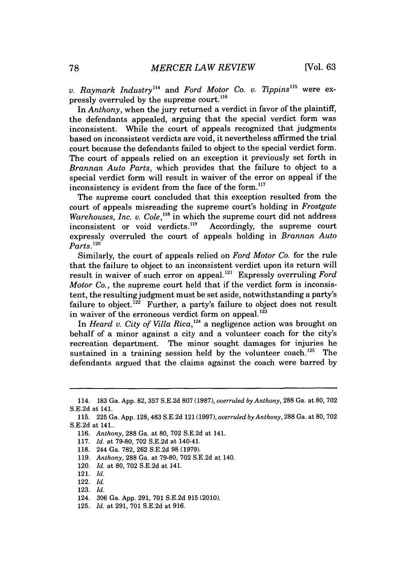*v. Raymark Industry"' and Ford Motor Co. v. Tippins"* were expressly overruled **by** the supreme court. **<sup>116</sup>**

In *Anthony,* when the jury returned a verdict in favor of the plaintiff, the defendants appealed, arguing that the special verdict form was inconsistent. While the court of appeals recognized that judgments based on inconsistent verdicts are void, it nevertheless affirmed the trial court because the defendants failed to object to the special verdict form. The court of appeals relied on an exception it previously set forth in *Brannan Auto Parts,* which provides that the failure to object to a special verdict form will result in waiver of the error on appeal if the inconsistency is evident from the face of the form.<sup>117</sup>

The supreme court concluded that this exception resulted from the court of appeals misreading the supreme court's holding in *Frostgate Warehouses, Inc. v. Cole*,<sup>118</sup> in which the supreme court did not address inconsistent or void verdicts.<sup>119</sup> Accordingly, the supreme court inconsistent or void verdicts.<sup>119</sup> expressly overruled the court of appeals holding in *Brannan Auto Parts.'20*

Similarly, the court of appeals relied on *Ford Motor Co.* for the rule that the failure to object to an inconsistent verdict upon its return will result in waiver of such error on appeal.12' Expressly overruling *Ford Motor Co.,* the supreme court held that if the verdict form is inconsistent, the resulting judgment must be set aside, notwithstanding a party's failure to object.<sup>122</sup> Further, a party's failure to object does not result in waiver of the erroneous verdict form on appeal.<sup>123</sup>

In *Heard v. City of Villa Rica*,<sup>124</sup> a negligence action was brought on behalf of a minor against a city and a volunteer coach for the city's recreation department. The minor sought damages for injuries he sustained in a training session held by the volunteer coach.<sup>125</sup> The defendants argued that the claims against the coach were barred **by**

- **117.** *Id.* at **79-80, 702 S.E.2d** at 140-41.
- **118.** 244 Ga. **782, 262 S.E.2d 98 (1979).**
- **119.** *Anthony,* **288** Ga. at **79-80, 702 S.E.2d** at 140.
- 120. *Id.* at **80, 702 S.E.2d** at 141.
- 121. *Id.*
- 122. *Id.*
- **123.** *Id.*
- 124. **306** Ga. **App. 291, 701 S.E.2d 915** (2010).
- **125.** *Id.* at **291, 701 S.E.2d** at **916.**

<sup>114.</sup> **183** Ga. **App. 82, 357 S.E.2d 807 (1987),** *overruled by Anthony,* **288** Ga. at **80, 702 S.E.2d** at 141.

**<sup>115. 225</sup>** Ga. **App. 128,** 483 **S.E.2d** 121 **(1997),** *overruled by Anthony,* **288** Ga. at **80, 702 S.E.2d** at 141..

**<sup>116.</sup>** *Anthony,* **288** Ga. at **80, 702 S.E.2d** at 141.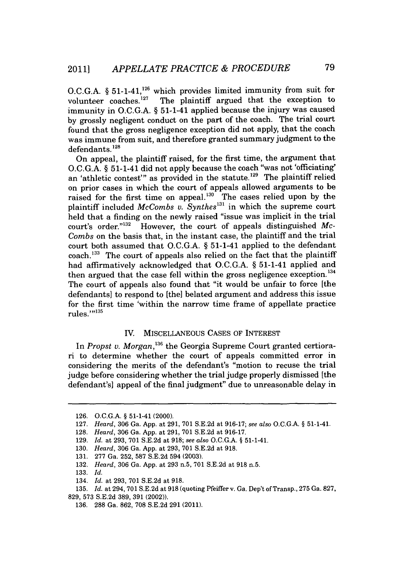O.C.G.A. § 51-1-41,<sup>126</sup> which provides limited immunity from suit for volunteer coaches.  $127$  The plaintiff argued that the exception to immunity in **O.C.G.A. §** 51-1-41 applied because the injury was caused **by** grossly negligent conduct on the part of the coach. The trial court found that the gross negligence exception did not apply, that the coach was immune from suit, and therefore granted summary judgment to the defendants.<sup>128</sup>

On appeal, the plaintiff raised, for the first time, the argument that **O.C.G.A. §** 51-1-41 did not apply because the coach "was not 'officiating' an 'athletic contest'" as provided in the statute.<sup>129</sup> The plaintiff relied on prior cases in which the court of appeals allowed arguments to be raised for the first time on appeal.<sup>130</sup> The cases relied upon by the plaintiff included *McCombs v. Synthes*<sup>131</sup> in which the supreme court held that a finding on the newly raised "issue was implicit in the trial court's order."'32 However, the court of appeals distinguished *Mc-Combs* on the basis that, in the instant case, the plaintiff and the trial court both assumed that **O.C.G.A.** *§* 51-1-41 applied to the defendant coach.<sup>133</sup> The court of appeals also relied on the fact that the plaintiff had affirmatively acknowledged that **O.C.G.A. §** 51-1-41 applied and then argued that the case fell within the gross negligence exception.<sup>134</sup> The court of appeals also found that "it would be unfair to force [the defendants] to respond to [the] belated argument and address this issue for the first time 'within the narrow time frame of appellate practice rules.'" **<sup>35</sup>**

## IV. **MISCELLANEOUS CASES** OF INTEREST

In Propst v. Morgan,<sup>136</sup> the Georgia Supreme Court granted certiorari to determine whether the court of appeals committed error in considering the merits of the defendant's "motion to recuse the trial judge before considering whether the trial judge properly dismissed [the defendant's] appeal of the final judgment" due to unreasonable delay in

**131. 277** Ga. **252, 587 S.E.2d** 594 **(2003).**

**133.** *Id.*

**<sup>126.</sup> O.C.G.A. §** 51-1-41 (2000).

**<sup>127.</sup>** *Heard,* **306** Ga. **App.** at **291, 701 S.E.2d** at **916-17;** *see also* **O.C.G.A. §** 51-1-41.

**<sup>128.</sup>** *Heard,* **306** Ga. **App.** at **291, 701 S.E.2d** at **916-17.**

**<sup>129.</sup>** *Id. at* **293, 701 S.E.2d** at **918;** *see also* **O.C.G.A. §** 51-1-41.

**<sup>130.</sup>** *Heard,* **306** Ga. **App.** at **293, 701 S.E.2d** at **918.**

**<sup>132.</sup>** *Heard,* **306** Ga. **App.** at **293** n.5, **701 S.E.2d** at **918** n.5.

<sup>134.</sup> *Id. at* **293, 701 S.E.2d** at **918.**

**<sup>135.</sup>** *Id. at* 294, **701 S.E.2d** at **918** (quoting Pfeiffer v. Ga. Dep't of Transp., **275** Ga. **827, 829, 573 S.E.2d 389, 391** (2002)).

**<sup>136. 288</sup>** Ga. **862, 708 S.E.2d 291** (2011).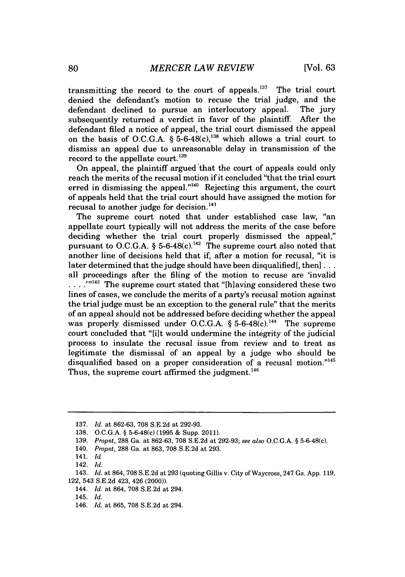transmitting the record to the court of appeals. $137$  The trial court denied the defendant's motion to recuse the trial judge, and the defendant declined to pursue an interlocutory appeal. The jury subsequently returned a verdict in favor of the plaintiff. After the defendant filed a notice of appeal, the trial court dismissed the appeal on the basis of O.C.G.A.  $\S 5$ -6-48(c),<sup>138</sup> which allows a trial court to dismiss an appeal due to unreasonable delay in transmission of the record to the appellate court.<sup>139</sup>

On appeal, the plaintiff argued 'that the court of appeals could only reach the merits of the recusal motion if it concluded "that the trial court erred in dismissing the appeal." $140$  Rejecting this argument, the court of appeals held that the trial court should have assigned the motion for recusal to another judge for decision.<sup>141</sup>

The supreme court noted that under established case law, "an appellate court typically will not address the merits of the case before deciding whether the trial court properly dismissed the appeal," pursuant to O.C.G.A.  $\S$  5-6-48(c).<sup>142</sup> The supreme court also noted that another line of decisions held that if, after a motion for recusal, "it is later determined that the judge should have been disqualified, then  $| \dots |$ all proceedings after the filing of the motion to recuse are 'invalid **.** . **,1143** The supreme court stated that "[h]aving considered these two lines of cases, we conclude the merits of a party's recusal motion against the trial judge must be an exception to the general rule" that the merits of an appeal should not be addressed before deciding whether the appeal was properly dismissed under O.C.G.A. § 5-6-48(c).<sup>144</sup> The supreme court concluded that "[ilt would undermine the integrity of the judicial process to insulate the recusal issue from review and to treat as legitimate the dismissal of an appeal **by** a judge who should be disqualified based on a proper consideration of a recusal motion."<sup>145</sup> Thus, the supreme court affirmed the judgment.<sup>146</sup>

**<sup>137.</sup>** *Id. at* **862-63, 708 S.E.2d** *at* **292-93.**

**<sup>138.</sup> O.C.G.A. §** 5-6-48(c) **(1995 &** Supp. 2011).

**<sup>139.</sup>** *Propst,* **288** Ga. at **862-63, 708 S.E.2d** at **292-93;** *see also* **O.C.G.A. §** 5-6-48(c).

<sup>140.</sup> *Propst,* **288** Ga. at **863, 708 S.E.2d** at **293.**

<sup>141.</sup> *Id.*

<sup>142.</sup> *Id.*

<sup>143.</sup> *Id. at* 864, **708 S.E.2d** at **293** (quoting Gillis v. City of Waycross, 247 Ga. **App. 119,** 122, 543 **S.E.2d** 423, 426 (2000)).

<sup>144.</sup> *Id. at* 864, **708 S.E.2d** at 294.

<sup>145.</sup> *Id.*

<sup>146.</sup> *Id. at* **865, 708 S.E.2d** at 294.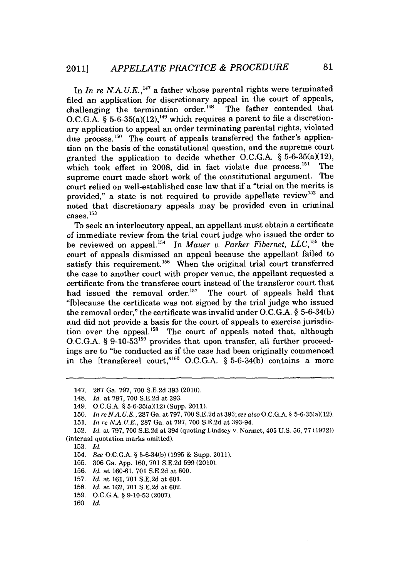In *In re N.A.U.E.*,<sup>147</sup> a father whose parental rights were terminated filed an application for discretionary appeal in the court of appeals, challenging the termination order.<sup>148</sup> The father contended that O.C.G.A.  $\tilde{\S}$  5-6-35(a)(12),<sup>149</sup> which requires a parent to file a discretionary application to appeal an order terminating parental rights, violated due process.<sup>150</sup> The court of appeals transferred the father's application on the basis of the constitutional question, and the supreme court granted the application to decide whether **O.C.G.A.** *§* 5-6-35(a)(12), which took effect in 2008, did in fact violate due process.<sup>151</sup> The supreme court made short work of the constitutional argument. The court relied on well-established case law that if a "trial on the merits is provided," a state is not required to provide appellate review<sup>152</sup> and noted that discretionary appeals may be provided even in criminal cases.1<sup>53</sup>

To seek an interlocutory appeal, an appellant must obtain a certificate of immediate review from the trial court judge who issued the order to be reviewed on appeal.<sup>154</sup> In *Mauer v. Parker Fibernet, LLC*,<sup>155</sup> the court of appeals dismissed an appeal because the appellant failed to satisfy this requirement.<sup>156</sup> When the original trial court transferred the case to another court with proper venue, the appellant requested a certificate from the transferee court instead of the transferor court that had issued the removal order.<sup>157</sup> The court of appeals held that "[blecause the certificate was not signed **by** the trial judge who issued the removal order," the certificate was invalid under **O.C.G.A. § 5-6-34(b)** and did not provide a basis for the court of appeals to exercise jurisdiction over the appeal.<sup>158</sup> The court of appeals noted that, although **O.C.G.A. § 9-10-53159** provides that upon transfer, all further proceedings are to "be conducted as if the case had been originally commenced in the [transferee] court,"<sup>160</sup> O.C.G.A. § 5-6-34(b) contains a more

- **155. 306** Ga. **App. 160, 701 S.E.2d 599** (2010).
- **156.** *Id. at* **160-61, 701 S.E.2d** at **600.**
- **157.** *Id.* at **161, 701 S.E.2d** at **601.**
- **158.** *Id.* at **162, 701 S.E.2d** at **602.**
- **159. O.C.G.A. § 9-10-53 (2007).**
- **160.** *Id.*

<sup>147.</sup> **287** Ga. **797, 700 S.E.2d 393** (2010).

<sup>148.</sup> *Id.* at **797, 700 S.E.2d** at **393.**

<sup>149.</sup> **O.C.G.A.** *§* 5-6-35(a)(12) (Supp. 2011).

**<sup>150.</sup>** *In re N.A.U.E., 287* Ga. at **797,700 S.E.2d** at **393;** *see also* **O.C.G.A.** *§* 5-6-35(a)(12).

**<sup>151.</sup>** *In re N.A. U.E.,* **287** Ga. at **797, 700 S.E.2d** at 393-94.

**<sup>152.</sup>** *Id. at 797,* **700 S.E.2d** at 394 (quoting Lindsey v. Normet, 405 U.S. **56, 77 (1972))** (internal quotation marks omitted).

**<sup>153.</sup>** *Id.*

<sup>154.</sup> *See* **O.C.G.A.** *§* **5-6-34(b) (1995 &** Supp. 2011).